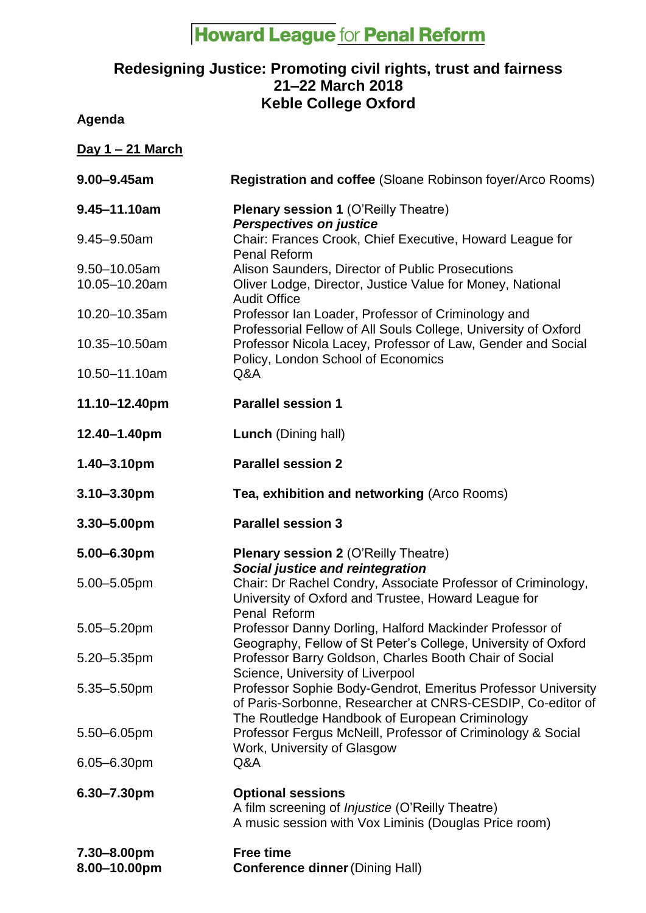## **Howard League for Penal Reform**

## **Redesigning Justice: Promoting civil rights, trust and fairness 21–22 March 2018 Keble College Oxford**

**Agenda**

| <u>Day 1 – 21 March</u>       |                                                                                                                                                                |
|-------------------------------|----------------------------------------------------------------------------------------------------------------------------------------------------------------|
| $9.00 - 9.45$ am              | Registration and coffee (Sloane Robinson foyer/Arco Rooms)                                                                                                     |
| $9.45 - 11.10$ am             | <b>Plenary session 1 (O'Reilly Theatre)</b><br><b>Perspectives on justice</b>                                                                                  |
| 9.45-9.50am                   | Chair: Frances Crook, Chief Executive, Howard League for<br><b>Penal Reform</b>                                                                                |
| 9.50-10.05am<br>10.05-10.20am | Alison Saunders, Director of Public Prosecutions<br>Oliver Lodge, Director, Justice Value for Money, National<br><b>Audit Office</b>                           |
| 10.20-10.35am                 | Professor Ian Loader, Professor of Criminology and<br>Professorial Fellow of All Souls College, University of Oxford                                           |
| 10.35-10.50am                 | Professor Nicola Lacey, Professor of Law, Gender and Social<br>Policy, London School of Economics                                                              |
| 10.50-11.10am                 | Q&A                                                                                                                                                            |
| 11.10-12.40pm                 | <b>Parallel session 1</b>                                                                                                                                      |
| 12.40-1.40pm                  | <b>Lunch</b> (Dining hall)                                                                                                                                     |
| 1.40-3.10pm                   | <b>Parallel session 2</b>                                                                                                                                      |
| $3.10 - 3.30$ pm              | Tea, exhibition and networking (Arco Rooms)                                                                                                                    |
|                               |                                                                                                                                                                |
| 3.30-5.00pm                   | <b>Parallel session 3</b>                                                                                                                                      |
| 5.00-6.30pm                   | <b>Plenary session 2 (O'Reilly Theatre)</b>                                                                                                                    |
| 5.00-5.05pm                   | <b>Social justice and reintegration</b><br>Chair: Dr Rachel Condry, Associate Professor of Criminology,<br>University of Oxford and Trustee, Howard League for |
| 5.05-5.20pm                   | Penal Reform<br>Professor Danny Dorling, Halford Mackinder Professor of                                                                                        |
| 5.20-5.35pm                   | Geography, Fellow of St Peter's College, University of Oxford<br>Professor Barry Goldson, Charles Booth Chair of Social                                        |
| 5.35-5.50pm                   | Science, University of Liverpool<br>Professor Sophie Body-Gendrot, Emeritus Professor University<br>of Paris-Sorbonne, Researcher at CNRS-CESDIP, Co-editor of |
| 5.50-6.05pm                   | The Routledge Handbook of European Criminology<br>Professor Fergus McNeill, Professor of Criminology & Social                                                  |
| 6.05-6.30pm                   | Work, University of Glasgow<br>Q&A                                                                                                                             |
| 6.30-7.30pm                   | <b>Optional sessions</b><br>A film screening of <i>Injustice</i> (O'Reilly Theatre)<br>A music session with Vox Liminis (Douglas Price room)                   |